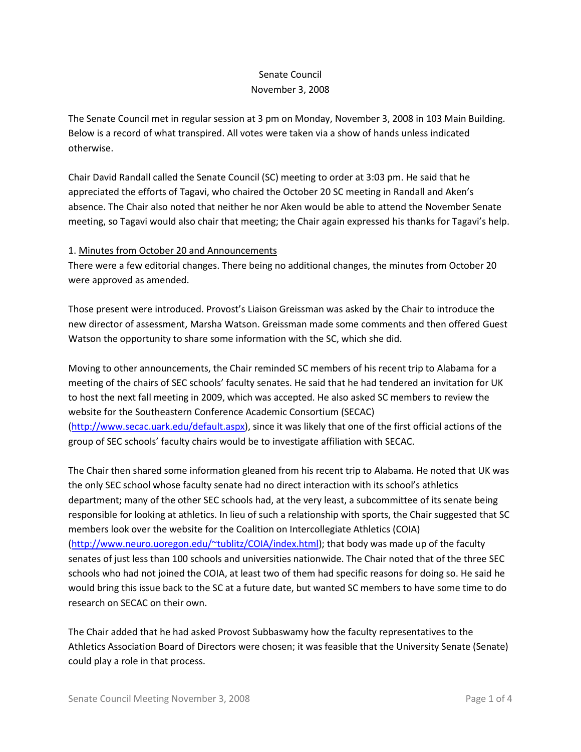## Senate Council November 3, 2008

The Senate Council met in regular session at 3 pm on Monday, November 3, 2008 in 103 Main Building. Below is a record of what transpired. All votes were taken via a show of hands unless indicated otherwise.

Chair David Randall called the Senate Council (SC) meeting to order at 3:03 pm. He said that he appreciated the efforts of Tagavi, who chaired the October 20 SC meeting in Randall and Aken's absence. The Chair also noted that neither he nor Aken would be able to attend the November Senate meeting, so Tagavi would also chair that meeting; the Chair again expressed his thanks for Tagavi's help.

#### 1. Minutes from October 20 and Announcements

There were a few editorial changes. There being no additional changes, the minutes from October 20 were approved as amended.

Those present were introduced. Provost's Liaison Greissman was asked by the Chair to introduce the new director of assessment, Marsha Watson. Greissman made some comments and then offered Guest Watson the opportunity to share some information with the SC, which she did.

Moving to other announcements, the Chair reminded SC members of his recent trip to Alabama for a meeting of the chairs of SEC schools' faculty senates. He said that he had tendered an invitation for UK to host the next fall meeting in 2009, which was accepted. He also asked SC members to review the website for the Southeastern Conference Academic Consortium (SECAC) [\(http://www.secac.uark.edu/default.aspx\)](http://www.secac.uark.edu/default.aspx), since it was likely that one of the first official actions of the group of SEC schools' faculty chairs would be to investigate affiliation with SECAC.

The Chair then shared some information gleaned from his recent trip to Alabama. He noted that UK was the only SEC school whose faculty senate had no direct interaction with its school's athletics department; many of the other SEC schools had, at the very least, a subcommittee of its senate being responsible for looking at athletics. In lieu of such a relationship with sports, the Chair suggested that SC members look over the website for the Coalition on Intercollegiate Athletics (COIA) [\(http://www.neuro.uoregon.edu/~tublitz/COIA/index.html\)](http://www.neuro.uoregon.edu/~tublitz/COIA/index.html); that body was made up of the faculty senates of just less than 100 schools and universities nationwide. The Chair noted that of the three SEC schools who had not joined the COIA, at least two of them had specific reasons for doing so. He said he would bring this issue back to the SC at a future date, but wanted SC members to have some time to do research on SECAC on their own.

The Chair added that he had asked Provost Subbaswamy how the faculty representatives to the Athletics Association Board of Directors were chosen; it was feasible that the University Senate (Senate) could play a role in that process.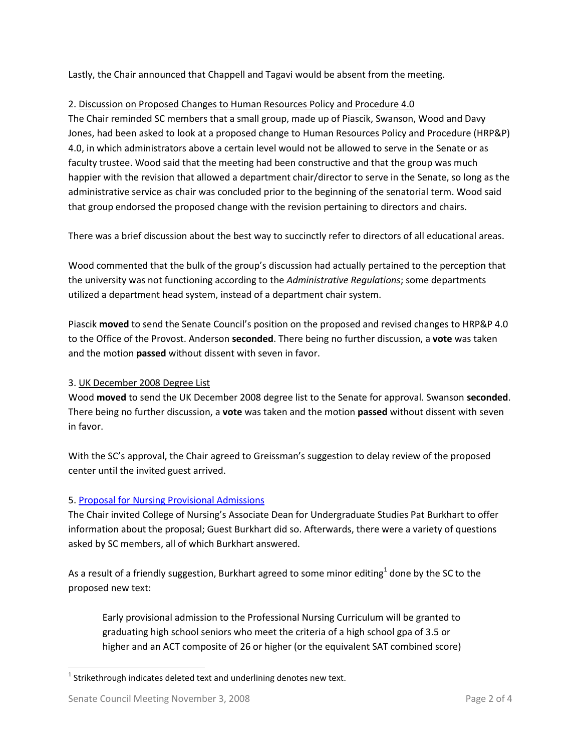Lastly, the Chair announced that Chappell and Tagavi would be absent from the meeting.

# 2. Discussion on Proposed Changes to Human Resources Policy and Procedure 4.0

The Chair reminded SC members that a small group, made up of Piascik, Swanson, Wood and Davy Jones, had been asked to look at a proposed change to Human Resources Policy and Procedure (HRP&P) 4.0, in which administrators above a certain level would not be allowed to serve in the Senate or as faculty trustee. Wood said that the meeting had been constructive and that the group was much happier with the revision that allowed a department chair/director to serve in the Senate, so long as the administrative service as chair was concluded prior to the beginning of the senatorial term. Wood said that group endorsed the proposed change with the revision pertaining to directors and chairs.

There was a brief discussion about the best way to succinctly refer to directors of all educational areas.

Wood commented that the bulk of the group's discussion had actually pertained to the perception that the university was not functioning according to the *Administrative Regulations*; some departments utilized a department head system, instead of a department chair system.

Piascik **moved** to send the Senate Council's position on the proposed and revised changes to HRP&P 4.0 to the Office of the Provost. Anderson **seconded**. There being no further discussion, a **vote** was taken and the motion **passed** without dissent with seven in favor.

## 3. UK December 2008 Degree List

Wood **moved** to send the UK December 2008 degree list to the Senate for approval. Swanson **seconded**. There being no further discussion, a **vote** was taken and the motion **passed** without dissent with seven in favor.

With the SC's approval, the Chair agreed to Greissman's suggestion to delay review of the proposed center until the invited guest arrived.

## 5. [Proposal for Nursing Provisional Admissions](http://www.uky.edu/USC/New/files/NU%20Prov%20Adm%20SR%204221_to%20SC_Complete.pdf)

The Chair invited College of Nursing's Associate Dean for Undergraduate Studies Pat Burkhart to offer information about the proposal; Guest Burkhart did so. Afterwards, there were a variety of questions asked by SC members, all of which Burkhart answered.

As a result of a friendly suggestion, Burkhart agreed to some minor editing $^1$  done by the SC to the proposed new text:

Early provisional admission to the Professional Nursing Curriculum will be granted to graduating high school seniors who meet the criteria of a high school gpa of 3.5 or higher and an ACT composite of 26 or higher (or the equivalent SAT combined score)

 $\overline{\phantom{a}}$ 

 $^{1}$  Strikethrough indicates deleted text and underlining denotes new text.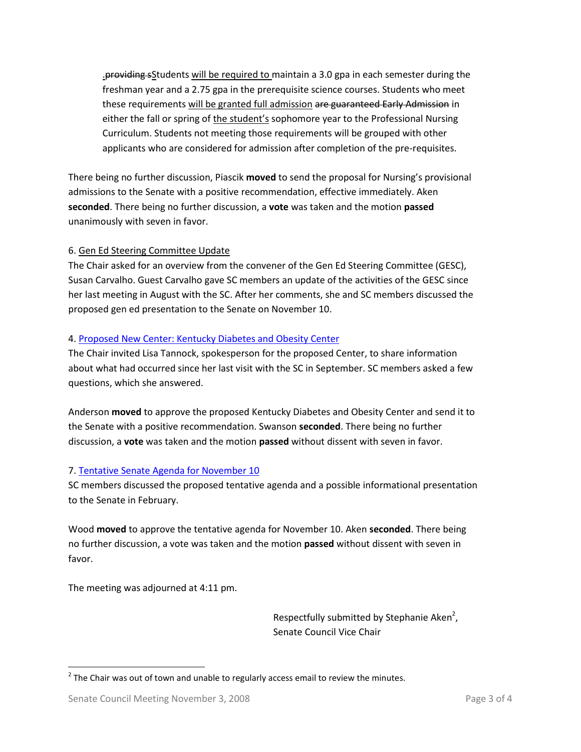.providing sStudents will be required to maintain a 3.0 gpa in each semester during the freshman year and a 2.75 gpa in the prerequisite science courses. Students who meet these requirements will be granted full admission are guaranteed Early Admission in either the fall or spring of the student's sophomore year to the Professional Nursing Curriculum. Students not meeting those requirements will be grouped with other applicants who are considered for admission after completion of the pre-requisites.

There being no further discussion, Piascik **moved** to send the proposal for Nursing's provisional admissions to the Senate with a positive recommendation, effective immediately. Aken **seconded**. There being no further discussion, a **vote** was taken and the motion **passed** unanimously with seven in favor.

#### 6. Gen Ed Steering Committee Update

The Chair asked for an overview from the convener of the Gen Ed Steering Committee (GESC), Susan Carvalho. Guest Carvalho gave SC members an update of the activities of the GESC since her last meeting in August with the SC. After her comments, she and SC members discussed the proposed gen ed presentation to the Senate on November 10.

#### 4. [Proposed New Center: Kentucky Diabetes and Obesity Center](http://www.uky.edu/USC/New/files/KY%20Diabetes%20and%20Obesity%20Center%20Proposal_Complete_TO%20US.pdf)

The Chair invited Lisa Tannock, spokesperson for the proposed Center, to share information about what had occurred since her last visit with the SC in September. SC members asked a few questions, which she answered.

Anderson **moved** to approve the proposed Kentucky Diabetes and Obesity Center and send it to the Senate with a positive recommendation. Swanson **seconded**. There being no further discussion, a **vote** was taken and the motion **passed** without dissent with seven in favor.

#### 7. [Tentative Senate Agenda for November 10](http://www.uky.edu/USC/New/files/Tentative%20Senate%20Agenda%20for%2011-10.pdf)

SC members discussed the proposed tentative agenda and a possible informational presentation to the Senate in February.

Wood **moved** to approve the tentative agenda for November 10. Aken **seconded**. There being no further discussion, a vote was taken and the motion **passed** without dissent with seven in favor.

The meeting was adjourned at 4:11 pm.

Respectfully submitted by Stephanie Aken<sup>2</sup>, Senate Council Vice Chair

 $\overline{\phantom{a}}$ 

 $2$  The Chair was out of town and unable to regularly access email to review the minutes.